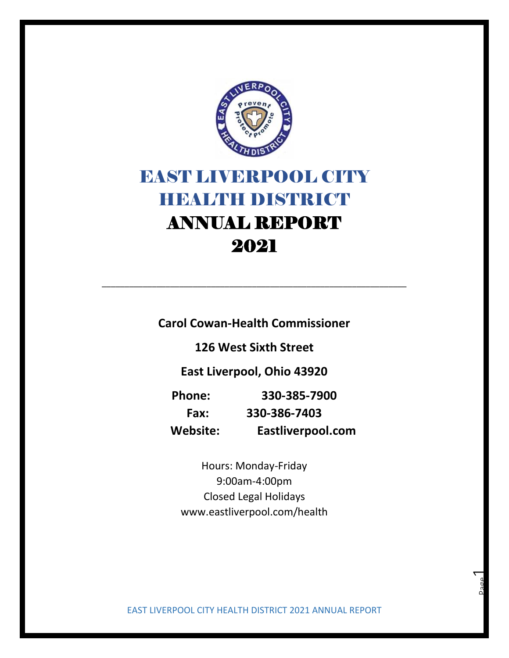

## EAST LIVERPOOL CITY **HIBALTH DISTRICT** ANNUAL REPORT 2021

**Carol Cowan-Health Commissioner**

\_\_\_\_\_\_\_\_\_\_\_\_\_\_\_\_\_\_\_\_\_\_\_\_\_\_\_\_\_\_\_\_\_\_\_\_\_\_\_\_\_\_\_\_\_\_\_\_\_\_\_\_\_\_\_\_\_\_\_\_\_\_\_\_\_\_\_

**126 West Sixth Street**

**East Liverpool, Ohio 43920**

| <b>Phone:</b> | 330-385-7900      |
|---------------|-------------------|
| Fax:          | 330-386-7403      |
| Website:      | Eastliverpool.com |

Hours: Monday-Friday 9:00am-4:00pm Closed Legal Holidays www.eastliverpool.com/health

EAST LIVERPOOL CITY HEALTH DISTRICT 2021 ANNUAL REPORT

Page  $\overline{\phantom{0}}$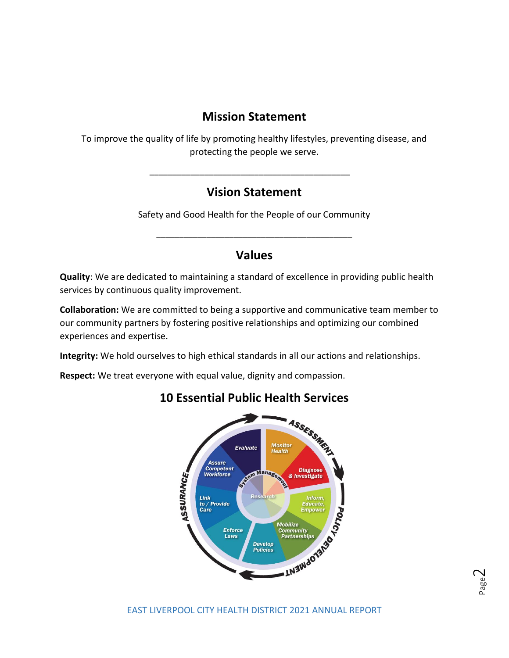## **Mission Statement**

To improve the quality of life by promoting healthy lifestyles, preventing disease, and protecting the people we serve.

## **Vision Statement**

\_\_\_\_\_\_\_\_\_\_\_\_\_\_\_\_\_\_\_\_\_\_\_\_\_\_\_\_\_\_\_\_\_\_\_\_\_\_\_\_\_\_\_\_

Safety and Good Health for the People of our Community

\_\_\_\_\_\_\_\_\_\_\_\_\_\_\_\_\_\_\_\_\_\_\_\_\_\_\_\_\_\_\_\_\_\_\_\_\_\_\_\_\_\_\_

### **Values**

**Quality**: We are dedicated to maintaining a standard of excellence in providing public health services by continuous quality improvement.

**Collaboration:** We are committed to being a supportive and communicative team member to our community partners by fostering positive relationships and optimizing our combined experiences and expertise.

**Integrity:** We hold ourselves to high ethical standards in all our actions and relationships.

**Respect:** We treat everyone with equal value, dignity and compassion.



## **10 Essential Public Health Services**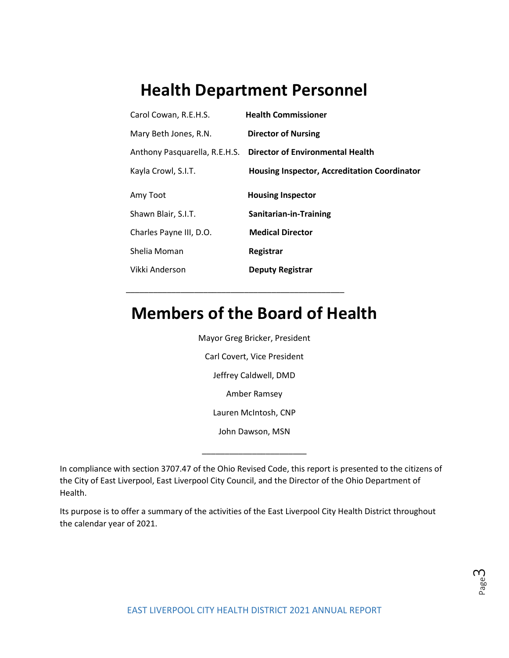## **Health Department Personnel**

| Carol Cowan, R.E.H.S.         | <b>Health Commissioner</b>                   |
|-------------------------------|----------------------------------------------|
| Mary Beth Jones, R.N.         | <b>Director of Nursing</b>                   |
| Anthony Pasquarella, R.E.H.S. | <b>Director of Environmental Health</b>      |
| Kayla Crowl, S.I.T.           | Housing Inspector, Accreditation Coordinator |
| Amy Toot                      | <b>Housing Inspector</b>                     |
| Shawn Blair, S.I.T.           | Sanitarian-in-Training                       |
| Charles Payne III, D.O.       | <b>Medical Director</b>                      |
| Shelia Moman                  | Registrar                                    |
| Vikki Anderson                | <b>Deputy Registrar</b>                      |

## **Members of the Board of Health**

\_\_\_\_\_\_\_\_\_\_\_\_\_\_\_\_\_\_\_\_\_\_\_\_\_\_\_\_\_\_\_\_\_\_\_\_\_\_\_\_\_\_\_\_\_\_\_\_

Mayor Greg Bricker, President Carl Covert, Vice President Jeffrey Caldwell, DMD Amber Ramsey Lauren McIntosh, CNP John Dawson, MSN

In compliance with section 3707.47 of the Ohio Revised Code, this report is presented to the citizens of the City of East Liverpool, East Liverpool City Council, and the Director of the Ohio Department of Health.

\_\_\_\_\_\_\_\_\_\_\_\_\_\_\_\_\_\_\_\_\_\_\_

Its purpose is to offer a summary of the activities of the East Liverpool City Health District throughout the calendar year of 2021.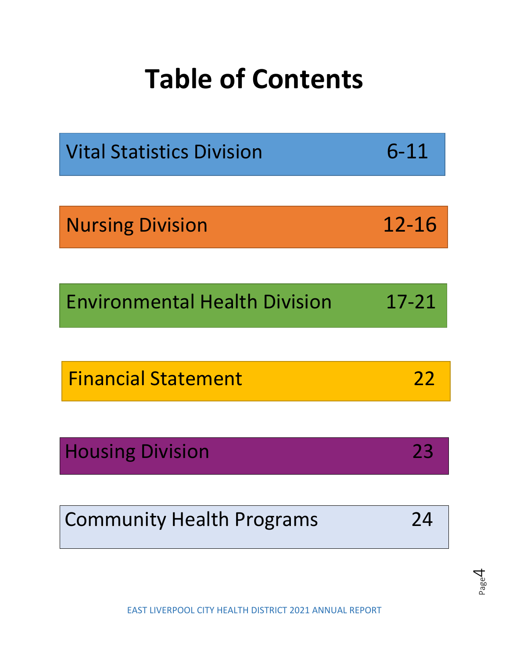# **Table of Contents**

| <b>Vital Statistics Division</b>     | $6 - 11$  |
|--------------------------------------|-----------|
|                                      |           |
| <b>Nursing Division</b>              | 12-16     |
|                                      |           |
| <b>Environmental Health Division</b> | $17 - 21$ |
|                                      |           |
| <b>Financial Statement</b>           | 22        |
|                                      |           |
| <b>Housing Division</b>              | 23        |
|                                      |           |

Community Health Programs24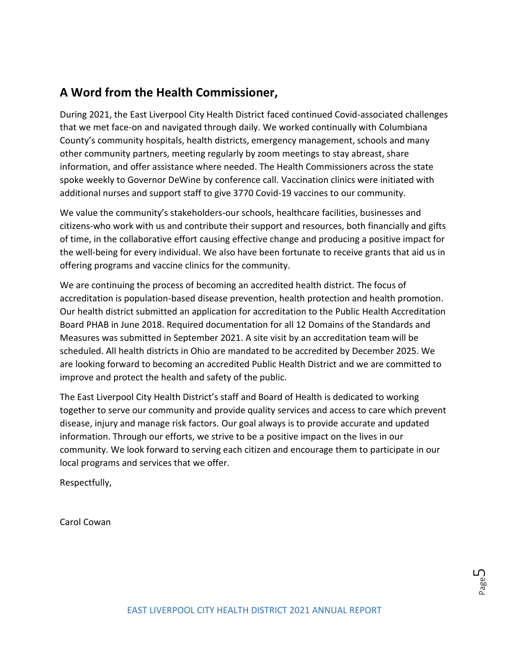## **A Word from the Health Commissioner,**

During 2021, the East Liverpool City Health District faced continued Covid-associated challenges that we met face-on and navigated through daily. We worked continually with Columbiana County's community hospitals, health districts, emergency management, schools and many other community partners, meeting regularly by zoom meetings to stay abreast, share information, and offer assistance where needed. The Health Commissioners across the state spoke weekly to Governor DeWine by conference call. Vaccination clinics were initiated with additional nurses and support staff to give 3770 Covid-19 vaccines to our community.

We value the community's stakeholders-our schools, healthcare facilities, businesses and citizens-who work with us and contribute their support and resources, both financially and gifts of time, in the collaborative effort causing effective change and producing a positive impact for the well-being for every individual. We also have been fortunate to receive grants that aid us in offering programs and vaccine clinics for the community.

We are continuing the process of becoming an accredited health district. The focus of accreditation is population-based disease prevention, health protection and health promotion. Our health district submitted an application for accreditation to the Public Health Accreditation Board PHAB in June 2018. Required documentation for all 12 Domains of the Standards and Measures was submitted in September 2021. A site visit by an accreditation team will be scheduled. All health districts in Ohio are mandated to be accredited by December 2025. We are looking forward to becoming an accredited Public Health District and we are committed to improve and protect the health and safety of the public.

The East Liverpool City Health District's staff and Board of Health is dedicated to working together to serve our community and provide quality services and access to care which prevent disease, injury and manage risk factors. Our goal always is to provide accurate and updated information. Through our efforts, we strive to be a positive impact on the lives in our community. We look forward to serving each citizen and encourage them to participate in our local programs and services that we offer.

Respectfully,

Carol Cowan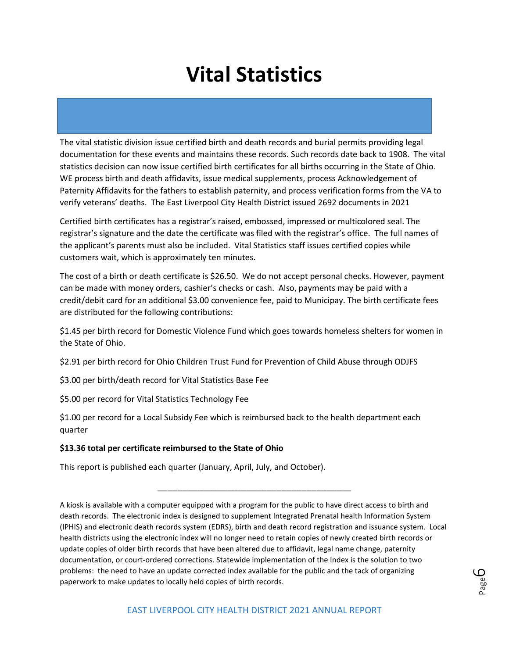The vital statistic division issue certified birth and death records and burial permits providing legal documentation for these events and maintains these records. Such records date back to 1908. The vital statistics decision can now issue certified birth certificates for all births occurring in the State of Ohio. WE process birth and death affidavits, issue medical supplements, process Acknowledgement of Paternity Affidavits for the fathers to establish paternity, and process verification forms from the VA to verify veterans' deaths. The East Liverpool City Health District issued 2692 documents in 2021

Certified birth certificates has a registrar's raised, embossed, impressed or multicolored seal. The registrar's signature and the date the certificate was filed with the registrar's office. The full names of the applicant's parents must also be included. Vital Statistics staff issues certified copies while customers wait, which is approximately ten minutes.

The cost of a birth or death certificate is \$26.50. We do not accept personal checks. However, payment can be made with money orders, cashier's checks or cash. Also, payments may be paid with a credit/debit card for an additional \$3.00 convenience fee, paid to Municipay. The birth certificate fees are distributed for the following contributions:

\$1.45 per birth record for Domestic Violence Fund which goes towards homeless shelters for women in the State of Ohio.

\$2.91 per birth record for Ohio Children Trust Fund for Prevention of Child Abuse through ODJFS

\$3.00 per birth/death record for Vital Statistics Base Fee

\$5.00 per record for Vital Statistics Technology Fee

\$1.00 per record for a Local Subsidy Fee which is reimbursed back to the health department each quarter

### **\$13.36 total per certificate reimbursed to the State of Ohio**

This report is published each quarter (January, April, July, and October).

A kiosk is available with a computer equipped with a program for the public to have direct access to birth and death records. The electronic index is designed to supplement Integrated Prenatal health Information System (IPHIS) and electronic death records system (EDRS), birth and death record registration and issuance system. Local health districts using the electronic index will no longer need to retain copies of newly created birth records or update copies of older birth records that have been altered due to affidavit, legal name change, paternity documentation, or court-ordered corrections. Statewide implementation of the Index is the solution to two problems: the need to have an update corrected index available for the public and the tack of organizing paperwork to make updates to locally held copies of birth records.

\_\_\_\_\_\_\_\_\_\_\_\_\_\_\_\_\_\_\_\_\_\_\_\_\_\_\_\_\_\_\_\_\_\_\_\_\_\_\_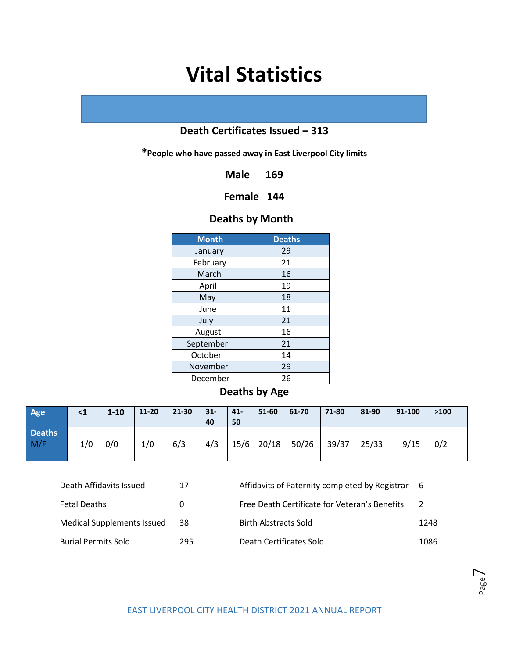### **Death Certificates Issued – 313**

**\*People who have passed away in East Liverpool City limits**

**Male 169**

### **Female 144**

### **Deaths by Month**

| <b>Month</b> | <b>Deaths</b> |
|--------------|---------------|
| January      | 29            |
| February     | 21            |
| March        | 16            |
| April        | 19            |
| May          | 18            |
| June         | 11            |
| July         | 21            |
| August       | 16            |
| September    | 21            |
| October      | 14            |
| November     | 29            |
| December     | 26            |

**Deaths by Age**

| Age                  | $\leq 1$ | $1 - 10$ | $11 - 20$ | 21-30 | $\vert$ 31-<br>40 | $41-$<br>50 | 51-60        | 61-70 | 71-80 | 81-90 | 91-100 | >100 |
|----------------------|----------|----------|-----------|-------|-------------------|-------------|--------------|-------|-------|-------|--------|------|
| <b>Deaths</b><br>M/F | 1/0      | 0/0      | 1/0       | 6/3   | 4/3               |             | $15/6$ 20/18 | 50/26 | 39/37 | 25/33 | 9/15   | 0/2  |

| Death Affidavits Issued           | 17  | Affidavits of Paternity completed by Registrar | - 6  |
|-----------------------------------|-----|------------------------------------------------|------|
| <b>Fetal Deaths</b>               | 0   | Free Death Certificate for Veteran's Benefits  | 2    |
| <b>Medical Supplements Issued</b> | 38  | Birth Abstracts Sold                           | 1248 |
| <b>Burial Permits Sold</b>        | 295 | Death Certificates Sold                        | 1086 |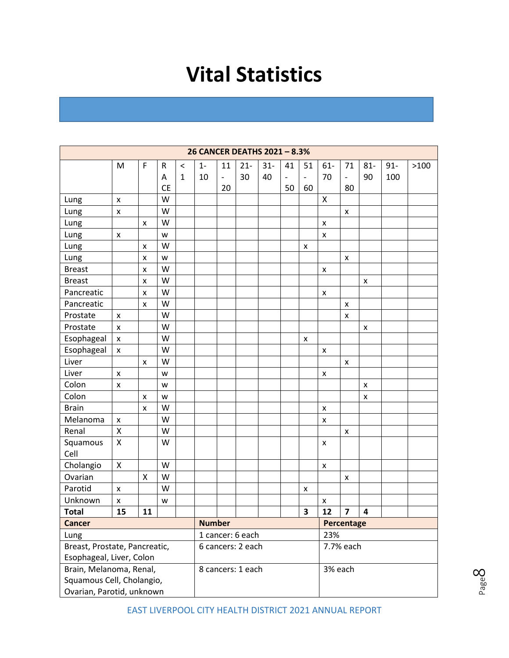|                           | 26 CANCER DEATHS 2021 - 8.3%  |               |           |                   |                  |                              |                   |        |                          |                              |                           |                           |        |        |      |
|---------------------------|-------------------------------|---------------|-----------|-------------------|------------------|------------------------------|-------------------|--------|--------------------------|------------------------------|---------------------------|---------------------------|--------|--------|------|
|                           | M                             | F             | R         | $\,<\,$           | $1 -$            | 11                           | $21 -$            | $31 -$ | 41                       | 51                           | $61 -$                    | 71                        | $81 -$ | $91 -$ | >100 |
|                           |                               |               | Α         | $\mathbf{1}$      | 10               | $\qquad \qquad \blacksquare$ | 30                | 40     | $\overline{\phantom{a}}$ | $\qquad \qquad \blacksquare$ | 70                        | $\frac{1}{2}$             | 90     | 100    |      |
|                           |                               |               | <b>CE</b> |                   |                  | 20                           |                   |        | 50                       | 60                           |                           | 80                        |        |        |      |
| Lung                      | X                             |               | W         |                   |                  |                              |                   |        |                          |                              | X                         |                           |        |        |      |
| Lung                      | $\pmb{\times}$                |               | W         |                   |                  |                              |                   |        |                          |                              |                           | $\boldsymbol{\mathsf{x}}$ |        |        |      |
| Lung                      |                               | x             | W         |                   |                  |                              |                   |        |                          |                              | $\boldsymbol{\mathsf{x}}$ |                           |        |        |      |
| Lung                      | X                             |               | W         |                   |                  |                              |                   |        |                          |                              | $\pmb{\mathsf{x}}$        |                           |        |        |      |
| Lung                      |                               | X             | W         |                   |                  |                              |                   |        |                          | $\pmb{\mathsf{x}}$           |                           |                           |        |        |      |
| Lung                      |                               | x             | W         |                   |                  |                              |                   |        |                          |                              |                           | X                         |        |        |      |
| <b>Breast</b>             |                               | X             | W         |                   |                  |                              |                   |        |                          |                              | $\pmb{\times}$            |                           |        |        |      |
| <b>Breast</b>             |                               | x             | W         |                   |                  |                              |                   |        |                          |                              |                           |                           | x      |        |      |
| Pancreatic                |                               | x             | W         |                   |                  |                              |                   |        |                          |                              | X                         |                           |        |        |      |
| Pancreatic                |                               | X             | W         |                   |                  |                              |                   |        |                          |                              |                           | X                         |        |        |      |
| Prostate                  | X                             |               | W         |                   |                  |                              |                   |        |                          |                              |                           | X                         |        |        |      |
| Prostate                  | $\pmb{\times}$                |               | W         |                   |                  |                              |                   |        |                          |                              |                           |                           | X      |        |      |
| Esophageal                | $\pmb{\times}$                |               | W         |                   |                  |                              |                   |        |                          | $\pmb{\times}$               |                           |                           |        |        |      |
| Esophageal                | X                             |               | W         |                   |                  |                              |                   |        |                          |                              | X                         |                           |        |        |      |
| Liver                     |                               | x             | W         |                   |                  |                              |                   |        |                          |                              |                           | X                         |        |        |      |
| Liver                     | X                             |               | W         |                   |                  |                              |                   |        |                          |                              | X                         |                           |        |        |      |
| Colon                     | $\pmb{\mathsf{x}}$            |               | W         |                   |                  |                              |                   |        |                          |                              |                           |                           | X      |        |      |
| Colon                     |                               | x             | W         |                   |                  |                              |                   |        |                          |                              |                           |                           | x      |        |      |
| <b>Brain</b>              |                               | X             | W         |                   |                  |                              |                   |        |                          |                              | $\pmb{\times}$            |                           |        |        |      |
| Melanoma                  | X                             |               | W         |                   |                  |                              |                   |        |                          |                              | $\pmb{\times}$            |                           |        |        |      |
| Renal                     | Χ                             |               | W         |                   |                  |                              |                   |        |                          |                              |                           | X                         |        |        |      |
| Squamous                  | Χ                             |               | W         |                   |                  |                              |                   |        |                          |                              | X                         |                           |        |        |      |
| Cell                      |                               |               |           |                   |                  |                              |                   |        |                          |                              |                           |                           |        |        |      |
| Cholangio                 | $\pmb{\mathsf{X}}$            |               | W         |                   |                  |                              |                   |        |                          |                              | X                         |                           |        |        |      |
| Ovarian                   |                               | X             | W         |                   |                  |                              |                   |        |                          |                              |                           | $\pmb{\times}$            |        |        |      |
| Parotid                   | X                             |               | W         |                   |                  |                              |                   |        |                          | x                            |                           |                           |        |        |      |
| Unknown                   | x                             |               | W         |                   |                  |                              |                   |        |                          |                              | X                         |                           |        |        |      |
| <b>Total</b>              | 15                            | 11            |           |                   |                  |                              |                   |        |                          | 3                            | 12                        | $\overline{\mathbf{z}}$   | 4      |        |      |
| <b>Cancer</b>             |                               | <b>Number</b> |           |                   |                  |                              |                   |        | Percentage               |                              |                           |                           |        |        |      |
| Lung                      |                               |               |           |                   | 1 cancer: 6 each |                              |                   |        |                          |                              | 23%                       |                           |        |        |      |
|                           | Breast, Prostate, Pancreatic, |               |           |                   |                  |                              | 6 cancers: 2 each |        |                          |                              |                           | 7.7% each                 |        |        |      |
| Esophageal, Liver, Colon  |                               |               |           |                   |                  |                              |                   |        |                          |                              |                           |                           |        |        |      |
| Brain, Melanoma, Renal,   |                               |               |           | 8 cancers: 1 each |                  |                              |                   |        | 3% each                  |                              |                           |                           |        |        |      |
| Squamous Cell, Cholangio, |                               |               |           |                   |                  |                              |                   |        |                          |                              |                           |                           |        |        |      |
| Ovarian, Parotid, unknown |                               |               |           |                   |                  |                              |                   |        |                          |                              |                           |                           |        |        |      |

Page  $\infty$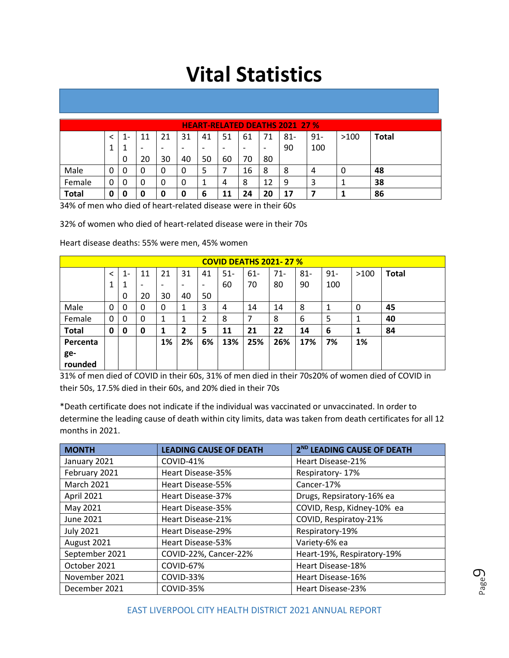|              | <b>HEART-RELATED DEATHS 2021 27 %</b> |     |                          |    |                          |    |    |                          |    |        |        |      |       |  |
|--------------|---------------------------------------|-----|--------------------------|----|--------------------------|----|----|--------------------------|----|--------|--------|------|-------|--|
|              |                                       | - 1 | 11                       | 21 | 31                       | 41 | 51 | 61                       |    | $81 -$ | $91 -$ | >100 | Total |  |
|              |                                       |     | $\overline{\phantom{0}}$ | ۰  | $\overline{\phantom{0}}$ | -  | -  | $\overline{\phantom{0}}$ | ٠  | 90     | 100    |      |       |  |
|              |                                       | 0   | 20                       | 30 | 40                       | 50 | 60 | 70                       | 80 |        |        |      |       |  |
| Male         | 0                                     |     | 0                        | 0  | 0                        | 5  |    | 16                       | 8  | 8      | 4      | O    | 48    |  |
| Female       | 0                                     |     | 0                        | 0  | 0                        | 1  | 4  | 8                        | 12 | 9      | 3      |      | 38    |  |
| <b>Total</b> | 0                                     | 0   | 0                        | 0  | 0                        | 6  | 11 | 24                       | 20 | 17     |        |      | 86    |  |

34% of men who died of heart-related disease were in their 60s

32% of women who died of heart-related disease were in their 70s

Heart disease deaths: 55% were men, 45% women

|              | <b>COVID DEATHS 2021-27 %</b> |       |                          |                          |                          |                          |        |        |        |        |        |      |              |  |
|--------------|-------------------------------|-------|--------------------------|--------------------------|--------------------------|--------------------------|--------|--------|--------|--------|--------|------|--------------|--|
|              | $\overline{\phantom{a}}$      | $1 -$ | 11                       | 21                       | 31                       | 41                       | $51 -$ | $61 -$ | $71 -$ | $81 -$ | $91 -$ | >100 | <b>Total</b> |  |
|              | 1                             |       | $\overline{\phantom{0}}$ | $\overline{\phantom{0}}$ | $\overline{\phantom{0}}$ | $\overline{\phantom{a}}$ | 60     | 70     | 80     | 90     | 100    |      |              |  |
|              |                               | 0     | 20                       | 30                       | 40                       | 50                       |        |        |        |        |        |      |              |  |
| Male         | 0                             | 0     | 0                        | 0                        | 1                        | 3                        | 4      | 14     | 14     | 8      |        | 0    | 45           |  |
| Female       | 0                             | 0     | 0                        | 1                        | J.                       | 2                        | 8      | 7      | 8      | 6      | 5      | 1    | 40           |  |
| <b>Total</b> | 0                             | 0     | 0                        | 1                        | $\mathbf{2}$             | 5                        | 11     | 21     | 22     | 14     | 6      |      | 84           |  |
| Percenta     |                               |       |                          | 1%                       | 2%                       | 6%                       | 13%    | 25%    | 26%    | 17%    | 7%     | 1%   |              |  |
| ge-          |                               |       |                          |                          |                          |                          |        |        |        |        |        |      |              |  |
| rounded      |                               |       |                          |                          |                          |                          |        |        |        |        |        |      |              |  |

31% of men died of COVID in their 60s, 31% of men died in their 70s20% of women died of COVID in their 50s, 17.5% died in their 60s, and 20% died in their 70s

\*Death certificate does not indicate if the individual was vaccinated or unvaccinated. In order to determine the leading cause of death within city limits, data was taken from death certificates for all 12 months in 2021.

| <b>MONTH</b>      | <b>LEADING CAUSE OF DEATH</b> | 2 <sup>ND</sup> LEADING CAUSE OF DEATH |
|-------------------|-------------------------------|----------------------------------------|
| January 2021      | COVID-41%                     | Heart Disease-21%                      |
| February 2021     | Heart Disease-35%             | Respiratory-17%                        |
| <b>March 2021</b> | Heart Disease-55%             | Cancer-17%                             |
| April 2021        | Heart Disease-37%             | Drugs, Repsiratory-16% ea              |
| May 2021          | Heart Disease-35%             | COVID, Resp, Kidney-10% ea             |
| June 2021         | Heart Disease-21%             | COVID, Respiratoy-21%                  |
| <b>July 2021</b>  | Heart Disease-29%             | Respiratory-19%                        |
| August 2021       | Heart Disease-53%             | Variety-6% ea                          |
| September 2021    | COVID-22%, Cancer-22%         | Heart-19%, Respiratory-19%             |
| October 2021      | COVID-67%                     | Heart Disease-18%                      |
| November 2021     | COVID-33%                     | Heart Disease-16%                      |
| December 2021     | COVID-35%                     | Heart Disease-23%                      |

Page  $\mathcal O$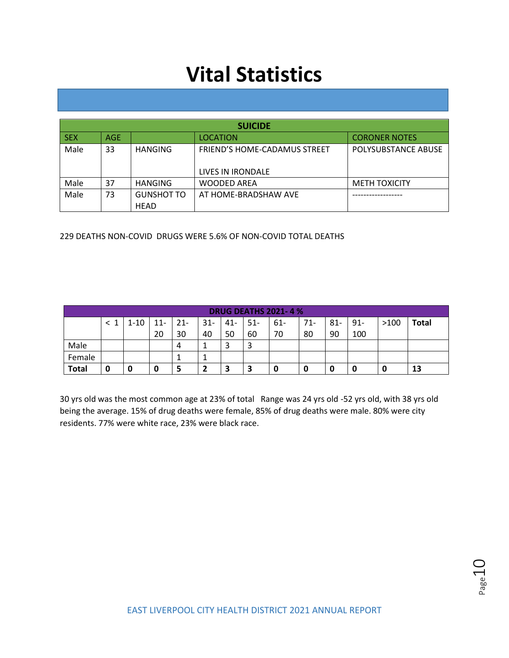|            | <b>SUICIDE</b> |                   |                                     |                      |  |  |  |  |  |  |  |  |  |
|------------|----------------|-------------------|-------------------------------------|----------------------|--|--|--|--|--|--|--|--|--|
| <b>SEX</b> | AGE            |                   | <b>LOCATION</b>                     | <b>CORONER NOTES</b> |  |  |  |  |  |  |  |  |  |
| Male       | 33             | HANGING           | <b>FRIEND'S HOME-CADAMUS STREET</b> | POLYSUBSTANCE ABUSE  |  |  |  |  |  |  |  |  |  |
|            |                |                   | LIVES IN IRONDALE                   |                      |  |  |  |  |  |  |  |  |  |
| Male       | 37             | <b>HANGING</b>    | <b>WOODED AREA</b>                  | <b>METH TOXICITY</b> |  |  |  |  |  |  |  |  |  |
| Male       | 73             | <b>GUNSHOT TO</b> | AT HOME-BRADSHAW AVE                |                      |  |  |  |  |  |  |  |  |  |
|            |                | <b>HEAD</b>       |                                     |                      |  |  |  |  |  |  |  |  |  |

229 DEATHS NON-COVID DRUGS WERE 5.6% OF NON-COVID TOTAL DEATHS

|              | <b>DRUG DEATHS 2021-4%</b> |      |        |        |        |        |       |       |       |       |        |      |              |  |
|--------------|----------------------------|------|--------|--------|--------|--------|-------|-------|-------|-------|--------|------|--------------|--|
|              |                            | 1-10 | $11 -$ | $-21-$ | $31 -$ | $41 -$ | $51-$ | $61-$ | $71-$ | $81-$ | $91 -$ | >100 | <b>Total</b> |  |
|              |                            |      | 20     | 30     | 40     | 50     | 60    | 70    | 80    | 90    | 100    |      |              |  |
| Male         |                            |      |        | 4      |        | э      |       |       |       |       |        |      |              |  |
| Female       |                            |      |        | T      | ᅩ      |        |       |       |       |       |        |      |              |  |
| <b>Total</b> | 0                          | 0    | O      | 5      |        | 3      | 3     | U     | 0     |       | 0      | u    | 13           |  |

30 yrs old was the most common age at 23% of total Range was 24 yrs old -52 yrs old, with 38 yrs old being the average. 15% of drug deaths were female, 85% of drug deaths were male. 80% were city residents. 77% were white race, 23% were black race.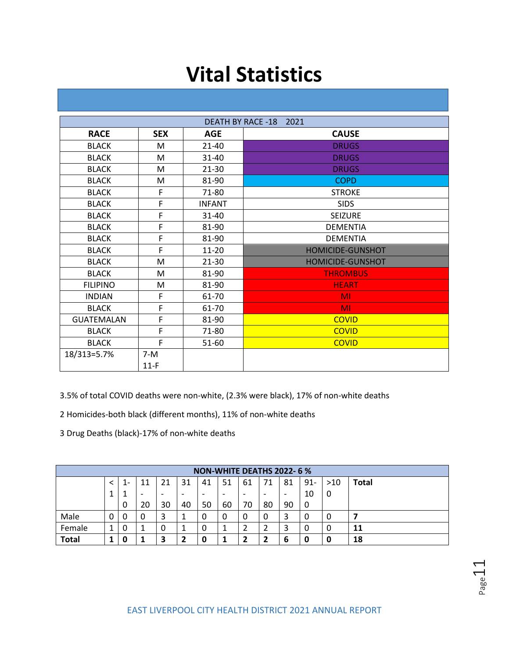| <b>DEATH BY RACE -18</b><br>2021 |            |               |                         |  |  |  |  |
|----------------------------------|------------|---------------|-------------------------|--|--|--|--|
| <b>RACE</b>                      | <b>SEX</b> | <b>AGE</b>    | <b>CAUSE</b>            |  |  |  |  |
| <b>BLACK</b>                     | M          | $21 - 40$     | <b>DRUGS</b>            |  |  |  |  |
| <b>BLACK</b>                     | M          | $31 - 40$     | <b>DRUGS</b>            |  |  |  |  |
| <b>BLACK</b>                     | M          | $21 - 30$     | <b>DRUGS</b>            |  |  |  |  |
| <b>BLACK</b>                     | M          | 81-90         | <b>COPD</b>             |  |  |  |  |
| <b>BLACK</b>                     | F          | 71-80         | <b>STROKE</b>           |  |  |  |  |
| <b>BLACK</b>                     | F          | <b>INFANT</b> | <b>SIDS</b>             |  |  |  |  |
| <b>BLACK</b>                     | F          | $31 - 40$     | <b>SEIZURE</b>          |  |  |  |  |
| <b>BLACK</b>                     | F          | 81-90         | <b>DEMENTIA</b>         |  |  |  |  |
| <b>BLACK</b>                     | F          | 81-90         | <b>DEMENTIA</b>         |  |  |  |  |
| <b>BLACK</b>                     | F          | $11 - 20$     | HOMICIDE-GUNSHOT        |  |  |  |  |
| <b>BLACK</b>                     | M          | $21 - 30$     | <b>HOMICIDE-GUNSHOT</b> |  |  |  |  |
| <b>BLACK</b>                     | M          | 81-90         | <b>THROMBUS</b>         |  |  |  |  |
| <b>FILIPINO</b>                  | M          | 81-90         | <b>HEART</b>            |  |  |  |  |
| <b>INDIAN</b>                    | F          | 61-70         | MI                      |  |  |  |  |
| <b>BLACK</b>                     | F          | 61-70         | <b>MI</b>               |  |  |  |  |
| <b>GUATEMALAN</b>                | F          | 81-90         | <b>COVID</b>            |  |  |  |  |
| <b>BLACK</b>                     | F          | 71-80         | <b>COVID</b>            |  |  |  |  |
| <b>BLACK</b>                     | F          | 51-60         | <b>COVID</b>            |  |  |  |  |
| 18/313=5.7%                      | $7-M$      |               |                         |  |  |  |  |
|                                  | $11-F$     |               |                         |  |  |  |  |

3.5% of total COVID deaths were non-white, (2.3% were black), 17% of non-white deaths

2 Homicides-both black (different months), 11% of non-white deaths

3 Drug Deaths (black)-17% of non-white deaths

|              | NON-WHITE DEATHS 2022-6% |    |                          |    |    |                          |                          |    |                          |                          |        |       |              |
|--------------|--------------------------|----|--------------------------|----|----|--------------------------|--------------------------|----|--------------------------|--------------------------|--------|-------|--------------|
|              |                          | 1- | 11                       | 21 | 31 | 41                       | 51                       | 61 | 71                       | 81                       | $91 -$ | $>10$ | <b>Total</b> |
|              | л.                       |    | $\overline{\phantom{0}}$ | ۰  | ۰  | $\overline{\phantom{0}}$ | $\overline{\phantom{0}}$ | -  | $\overline{\phantom{0}}$ | $\overline{\phantom{0}}$ | 10     | 0     |              |
|              |                          | 0  | 20                       | 30 | 40 | 50                       | 60                       | 70 | 80                       | 90                       | 0      |       |              |
| Male         | 0                        | 0  | 0                        | 3  |    | 0                        | 0                        | 0  |                          |                          | 0      | 0     |              |
| Female       | -1                       | 0  | ᅩ                        | 0  |    | 0                        | л                        |    |                          |                          | 0      | 0     | 11           |
| <b>Total</b> |                          | 0  |                          | 3  | 2  | 0                        |                          |    |                          | 6                        | 0      | 0     | 18           |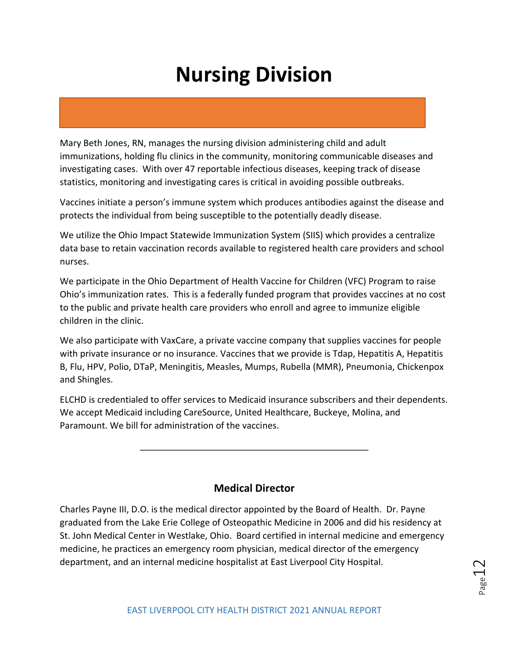Mary Beth Jones, RN, manages the nursing division administering child and adult immunizations, holding flu clinics in the community, monitoring communicable diseases and investigating cases. With over 47 reportable infectious diseases, keeping track of disease statistics, monitoring and investigating cares is critical in avoiding possible outbreaks.

Vaccines initiate a person's immune system which produces antibodies against the disease and protects the individual from being susceptible to the potentially deadly disease.

We utilize the Ohio Impact Statewide Immunization System (SIIS) which provides a centralize data base to retain vaccination records available to registered health care providers and school nurses.

We participate in the Ohio Department of Health Vaccine for Children (VFC) Program to raise Ohio's immunization rates. This is a federally funded program that provides vaccines at no cost to the public and private health care providers who enroll and agree to immunize eligible children in the clinic.

We also participate with VaxCare, a private vaccine company that supplies vaccines for people with private insurance or no insurance. Vaccines that we provide is Tdap, Hepatitis A, Hepatitis B, Flu, HPV, Polio, DTaP, Meningitis, Measles, Mumps, Rubella (MMR), Pneumonia, Chickenpox and Shingles.

ELCHD is credentialed to offer services to Medicaid insurance subscribers and their dependents. We accept Medicaid including CareSource, United Healthcare, Buckeye, Molina, and Paramount. We bill for administration of the vaccines.

\_\_\_\_\_\_\_\_\_\_\_\_\_\_\_\_\_\_\_\_\_\_\_\_\_\_\_\_\_\_\_\_\_\_\_\_\_\_\_\_\_\_\_\_\_\_

### **Medical Director**

Charles Payne III, D.O. is the medical director appointed by the Board of Health. Dr. Payne graduated from the Lake Erie College of Osteopathic Medicine in 2006 and did his residency at St. John Medical Center in Westlake, Ohio. Board certified in internal medicine and emergency medicine, he practices an emergency room physician, medical director of the emergency department, and an internal medicine hospitalist at East Liverpool City Hospital.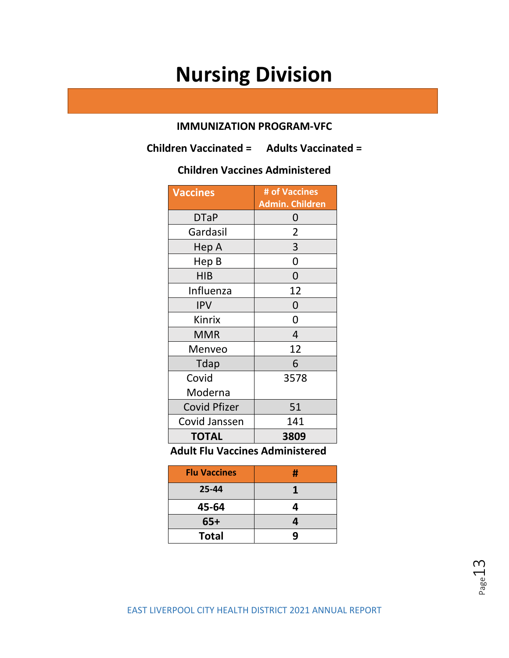### **IMMUNIZATION PROGRAM-VFC**

**Children Vaccinated = Adults Vaccinated =** 

## **Children Vaccines Administered**

| <b>Vaccines</b>     | # of Vaccines   |
|---------------------|-----------------|
|                     | Admin. Children |
| <b>DTaP</b>         | 0               |
| Gardasil            | 2               |
| Hep A               | 3               |
| Hep B               | 0               |
| <b>HIB</b>          | 0               |
| Influenza           | 12              |
| <b>IPV</b>          | 0               |
| Kinrix              | 0               |
| <b>MMR</b>          | 4               |
| Menveo              | 12              |
| <b>Tdap</b>         | 6               |
| Covid               | 3578            |
| Moderna             |                 |
| <b>Covid Pfizer</b> | 51              |
| Covid Janssen       | 141             |
| <b>TOTAL</b>        | 3809            |

 **Adult Flu Vaccines Administered** 

| <b>Flu Vaccines</b> | # |
|---------------------|---|
| 25-44               |   |
| 45-64               | 4 |
| $65+$               | 4 |
| <b>Total</b>        | q |

Page13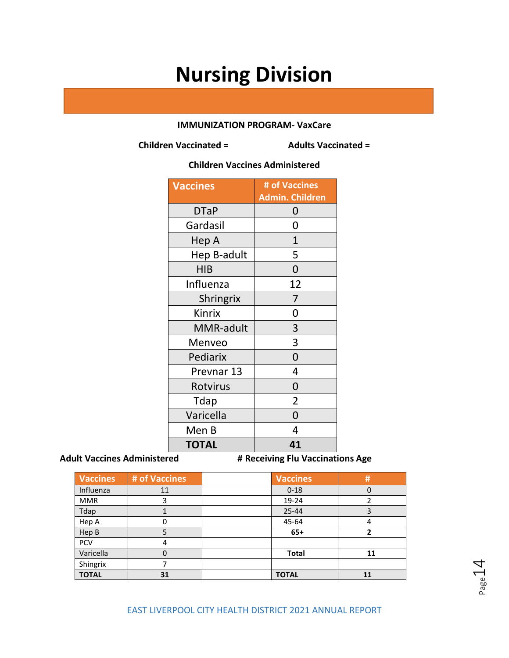### **IMMUNIZATION PROGRAM- VaxCare**

**Children Vaccinated = Adults Vaccinated =** 

### **Children Vaccines Administered**

| <b>Vaccines</b>  | # of Vaccines<br><b>Admin. Children</b> |
|------------------|-----------------------------------------|
| <b>DTaP</b>      | 0                                       |
| Gardasil         | 0                                       |
| Hep A            | $\overline{1}$                          |
| Hep B-adult      | 5                                       |
| <b>HIB</b>       | 0                                       |
| Influenza        | 12                                      |
| <b>Shringrix</b> | 7                                       |
| Kinrix           | 0                                       |
| MMR-adult        | 3                                       |
| Menveo           | 3                                       |
| Pediarix         | $\overline{0}$                          |
| Prevnar 13       | 4                                       |
| Rotvirus         | 0                                       |
| Tdap             | $\overline{2}$                          |
| Varicella        | 0                                       |
| Men B            | 4                                       |
| <b>TOTAL</b>     | 41                                      |

Adult Vaccines Administered **# Receiving Flu Vaccinations Age** 

| <b>Vaccines</b> | # of Vaccines | <b>Vaccines</b> | #  |
|-----------------|---------------|-----------------|----|
| Influenza       | 11            | $0 - 18$        | 0  |
| <b>MMR</b>      | 3             | 19-24           | 2  |
| Tdap            |               | $25 - 44$       | 3  |
| Hep A           | 0             | 45-64           | 4  |
| Hep B           | 5             | $65+$           | 2  |
| <b>PCV</b>      | 4             |                 |    |
| Varicella       | 0             | <b>Total</b>    | 11 |
| Shingrix        |               |                 |    |
| <b>TOTAL</b>    | 31            | <b>TOTAL</b>    | 11 |

Page 14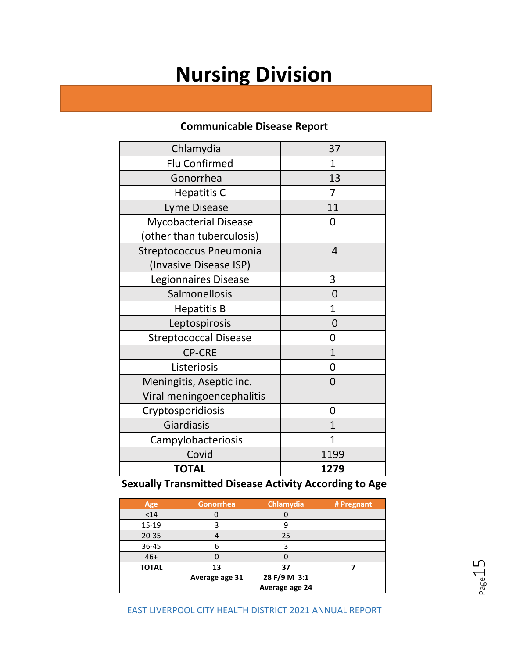### **Communicable Disease Report**

| Chlamydia                      | 37           |
|--------------------------------|--------------|
| <b>Flu Confirmed</b>           | 1            |
| Gonorrhea                      | 13           |
| <b>Hepatitis C</b>             | 7            |
| Lyme Disease                   | 11           |
| <b>Mycobacterial Disease</b>   | 0            |
| (other than tuberculosis)      |              |
| <b>Streptococcus Pneumonia</b> | 4            |
| (Invasive Disease ISP)         |              |
| Legionnaires Disease           | 3            |
| Salmonellosis                  | 0            |
| <b>Hepatitis B</b>             | $\mathbf{1}$ |
| Leptospirosis                  | 0            |
| <b>Streptococcal Disease</b>   | 0            |
| <b>CP-CRE</b>                  | 1            |
| Listeriosis                    | 0            |
| Meningitis, Aseptic inc.       | 0            |
| Viral meningoencephalitis      |              |
| Cryptosporidiosis              | 0            |
| Giardiasis                     | $\mathbf{1}$ |
| Campylobacteriosis             | 1            |
| Covid                          | 1199         |
| <b>TOTAL</b>                   | 1279         |

**Sexually Transmitted Disease Activity According to Age**

| Age          | <b>Gonorrhea</b> | Chlamydia      | # Pregnant |
|--------------|------------------|----------------|------------|
| $14$         |                  |                |            |
| 15-19        |                  | g              |            |
| $20 - 35$    |                  | 25             |            |
| 36-45        |                  |                |            |
| $46+$        |                  |                |            |
| <b>TOTAL</b> | 13               | 37             |            |
|              | Average age 31   | 28 F/9 M 3:1   |            |
|              |                  | Average age 24 |            |

Page15

EAST LIVERPOOL CITY HEALTH DISTRICT 2021 ANNUAL REPORT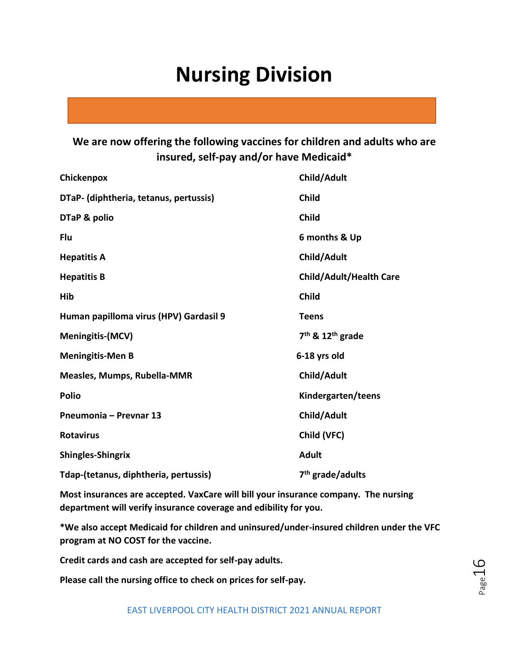### **We are now offering the following vaccines for children and adults who are insured, self-pay and/or have Medicaid\***

| Chickenpox                             | Child/Adult                              |
|----------------------------------------|------------------------------------------|
| DTaP- (diphtheria, tetanus, pertussis) | <b>Child</b>                             |
| DTaP & polio                           | <b>Child</b>                             |
| Flu                                    | 6 months & Up                            |
| <b>Hepatitis A</b>                     | Child/Adult                              |
| <b>Hepatitis B</b>                     | <b>Child/Adult/Health Care</b>           |
| Hib                                    | <b>Child</b>                             |
| Human papilloma virus (HPV) Gardasil 9 | <b>Teens</b>                             |
| <b>Meningitis-(MCV)</b>                | 7 <sup>th</sup> & 12 <sup>th</sup> grade |
| <b>Meningitis-Men B</b>                | 6-18 yrs old                             |
| Measles, Mumps, Rubella-MMR            | Child/Adult                              |
| <b>Polio</b>                           | Kindergarten/teens                       |
| Pneumonia - Prevnar 13                 | Child/Adult                              |
| <b>Rotavirus</b>                       | Child (VFC)                              |
| <b>Shingles-Shingrix</b>               | <b>Adult</b>                             |
| Tdap-(tetanus, diphtheria, pertussis)  | 7 <sup>th</sup> grade/adults             |

**Most insurances are accepted. VaxCare will bill your insurance company. The nursing department will verify insurance coverage and edibility for you.**

**\*We also accept Medicaid for children and uninsured/under-insured children under the VFC program at NO COST for the vaccine.**

**Credit cards and cash are accepted for self-pay adults.** 

**Please call the nursing office to check on prices for self-pay.**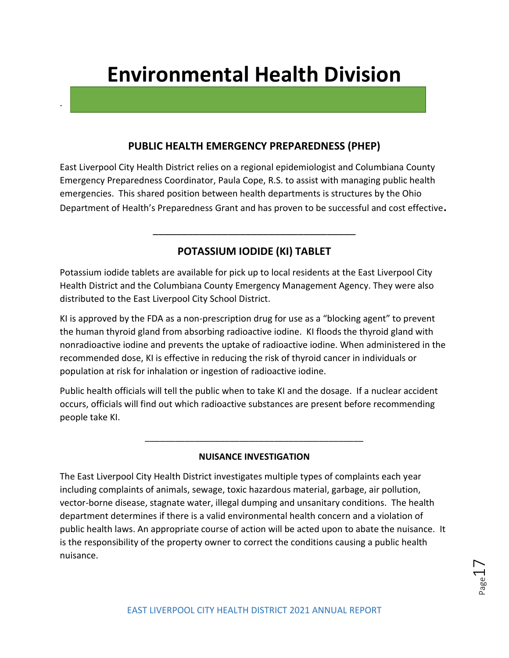.

### **PUBLIC HEALTH EMERGENCY PREPAREDNESS (PHEP)**

East Liverpool City Health District relies on a regional epidemiologist and Columbiana County Emergency Preparedness Coordinator, Paula Cope, R.S. to assist with managing public health emergencies. This shared position between health departments is structures by the Ohio Department of Health's Preparedness Grant and has proven to be successful and cost effective**.** 

### **POTASSIUM IODIDE (KI) TABLET**

\_\_\_\_\_\_\_\_\_\_\_\_\_\_\_\_\_\_\_\_\_\_\_\_\_\_\_\_\_\_\_\_\_\_\_

Potassium iodide tablets are available for pick up to local residents at the East Liverpool City Health District and the Columbiana County Emergency Management Agency. They were also distributed to the East Liverpool City School District.

KI is approved by the FDA as a non-prescription drug for use as a "blocking agent" to prevent the human thyroid gland from absorbing radioactive iodine. KI floods the thyroid gland with nonradioactive iodine and prevents the uptake of radioactive iodine. When administered in the recommended dose, KI is effective in reducing the risk of thyroid cancer in individuals or population at risk for inhalation or ingestion of radioactive iodine.

Public health officials will tell the public when to take KI and the dosage. If a nuclear accident occurs, officials will find out which radioactive substances are present before recommending people take KI.

### **NUISANCE INVESTIGATION**

\_\_\_\_\_\_\_\_\_\_\_\_\_\_\_\_\_\_\_\_\_\_\_\_\_\_\_\_\_\_\_\_\_\_\_\_\_\_\_\_\_\_\_\_

The East Liverpool City Health District investigates multiple types of complaints each year including complaints of animals, sewage, toxic hazardous material, garbage, air pollution, vector-borne disease, stagnate water, illegal dumping and unsanitary conditions. The health department determines if there is a valid environmental health concern and a violation of public health laws. An appropriate course of action will be acted upon to abate the nuisance. It is the responsibility of the property owner to correct the conditions causing a public health nuisance.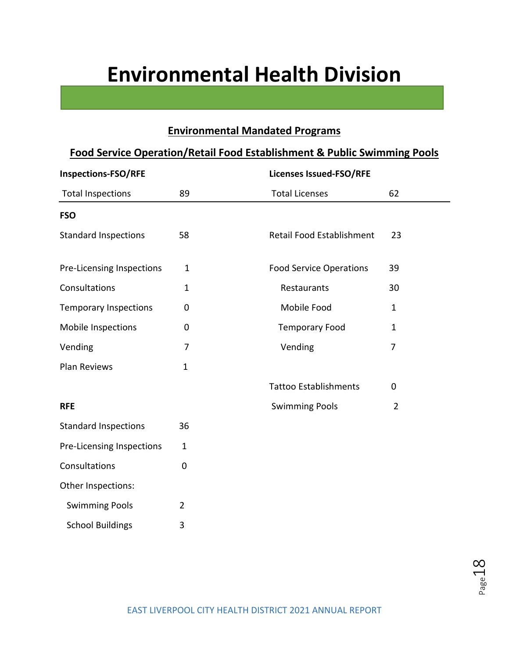## **Environmental Mandated Programs**

| <b>Food Service Operation/Retail Food Establishment &amp; Public Swimming Pools</b> |                |                                         |  |  |  |  |
|-------------------------------------------------------------------------------------|----------------|-----------------------------------------|--|--|--|--|
| <b>Inspections-FSO/RFE</b>                                                          |                | <b>Licenses Issued-FSO/RFE</b>          |  |  |  |  |
| <b>Total Inspections</b>                                                            | 89             | <b>Total Licenses</b><br>62             |  |  |  |  |
| <b>FSO</b>                                                                          |                |                                         |  |  |  |  |
| <b>Standard Inspections</b>                                                         | 58             | Retail Food Establishment<br>23         |  |  |  |  |
| Pre-Licensing Inspections                                                           | $\mathbf{1}$   | <b>Food Service Operations</b><br>39    |  |  |  |  |
| Consultations                                                                       | $\mathbf{1}$   | 30<br>Restaurants                       |  |  |  |  |
| <b>Temporary Inspections</b>                                                        | $\mathbf 0$    | Mobile Food<br>1                        |  |  |  |  |
| Mobile Inspections                                                                  | $\pmb{0}$      | <b>Temporary Food</b><br>$\mathbf{1}$   |  |  |  |  |
| Vending                                                                             | $\overline{7}$ | Vending<br>$\overline{7}$               |  |  |  |  |
| Plan Reviews                                                                        | $\mathbf{1}$   |                                         |  |  |  |  |
|                                                                                     |                | <b>Tattoo Establishments</b><br>0       |  |  |  |  |
| <b>RFE</b>                                                                          |                | <b>Swimming Pools</b><br>$\overline{2}$ |  |  |  |  |
| <b>Standard Inspections</b>                                                         | 36             |                                         |  |  |  |  |
| Pre-Licensing Inspections                                                           | $\mathbf 1$    |                                         |  |  |  |  |
| Consultations                                                                       | 0              |                                         |  |  |  |  |
| Other Inspections:                                                                  |                |                                         |  |  |  |  |
| <b>Swimming Pools</b>                                                               | $\overline{2}$ |                                         |  |  |  |  |
| <b>School Buildings</b>                                                             | 3              |                                         |  |  |  |  |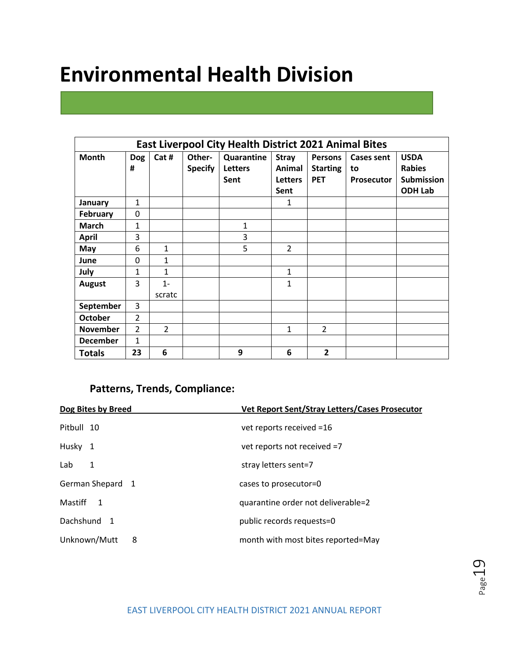|                 | <b>East Liverpool City Health District 2021 Animal Bites</b> |                |                          |                              |                        |                                   |                         |                              |
|-----------------|--------------------------------------------------------------|----------------|--------------------------|------------------------------|------------------------|-----------------------------------|-------------------------|------------------------------|
| <b>Month</b>    | <b>Dog</b><br>#                                              | Cat #          | Other-<br><b>Specify</b> | Quarantine<br><b>Letters</b> | <b>Stray</b><br>Animal | <b>Persons</b><br><b>Starting</b> | <b>Cases sent</b><br>to | <b>USDA</b><br><b>Rabies</b> |
|                 |                                                              |                |                          | Sent                         | <b>Letters</b>         | <b>PET</b>                        | <b>Prosecutor</b>       | <b>Submission</b>            |
|                 |                                                              |                |                          |                              | Sent                   |                                   |                         | <b>ODH Lab</b>               |
| January         | 1                                                            |                |                          |                              | 1                      |                                   |                         |                              |
| <b>February</b> | 0                                                            |                |                          |                              |                        |                                   |                         |                              |
| <b>March</b>    | 1                                                            |                |                          | 1                            |                        |                                   |                         |                              |
| <b>April</b>    | 3                                                            |                |                          | 3                            |                        |                                   |                         |                              |
| May             | 6                                                            | 1              |                          | 5                            | $\overline{2}$         |                                   |                         |                              |
| June            | $\mathbf{0}$                                                 | $\mathbf{1}$   |                          |                              |                        |                                   |                         |                              |
| July            | 1                                                            | 1              |                          |                              | $\mathbf{1}$           |                                   |                         |                              |
| <b>August</b>   | 3                                                            | $1 -$          |                          |                              | 1                      |                                   |                         |                              |
|                 |                                                              | scratc         |                          |                              |                        |                                   |                         |                              |
| September       | 3                                                            |                |                          |                              |                        |                                   |                         |                              |
| <b>October</b>  | $\overline{2}$                                               |                |                          |                              |                        |                                   |                         |                              |
| <b>November</b> | $\overline{2}$                                               | $\overline{2}$ |                          |                              | $\mathbf{1}$           | $\overline{2}$                    |                         |                              |
| <b>December</b> | $\mathbf{1}$                                                 |                |                          |                              |                        |                                   |                         |                              |
| <b>Totals</b>   | 23                                                           | 6              |                          | 9                            | 6                      | 2                                 |                         |                              |

### **Patterns, Trends, Compliance:**

| Dog Bites by Breed | Vet Report Sent/Stray Letters/Cases Prosecutor |
|--------------------|------------------------------------------------|
| Pitbull 10         | vet reports received =16                       |
| Husky 1            | vet reports not received =7                    |
| Lab<br>1           | stray letters sent=7                           |
| German Shepard 1   | cases to prosecutor=0                          |
| Mastiff 1          | quarantine order not deliverable=2             |
| Dachshund 1        | public records requests=0                      |
| Unknown/Mutt<br>8  | month with most bites reported=May             |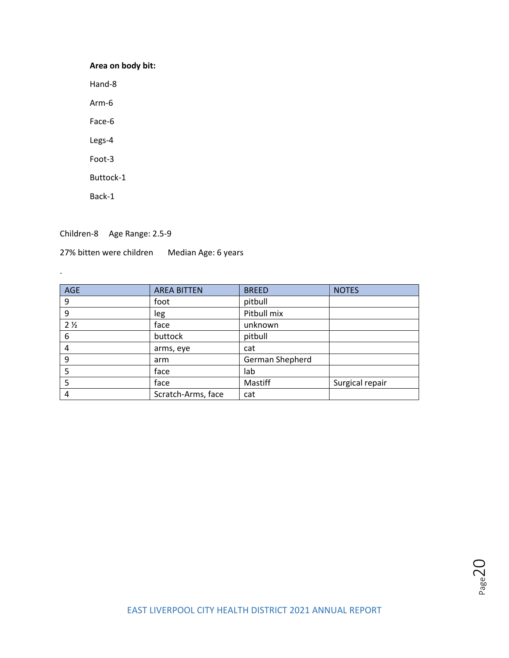### **Area on body bit:**

Hand-8

Arm-6

Face-6

Legs-4

Foot-3

Buttock-1

Back-1

.

Children-8 Age Range: 2.5-9

27% bitten were children Median Age: 6 years

| <b>AGE</b>     | <b>AREA BITTEN</b> | <b>BREED</b>    | <b>NOTES</b>    |
|----------------|--------------------|-----------------|-----------------|
| 9              | foot               | pitbull         |                 |
| 9              | leg                | Pitbull mix     |                 |
| 2 <sub>2</sub> | face               | unknown         |                 |
| 6              | buttock            | pitbull         |                 |
| 4              | arms, eye          | cat             |                 |
| 9              | arm                | German Shepherd |                 |
| 5              | face               | lab             |                 |
| 5              | face               | Mastiff         | Surgical repair |
| 4              | Scratch-Arms, face | cat             |                 |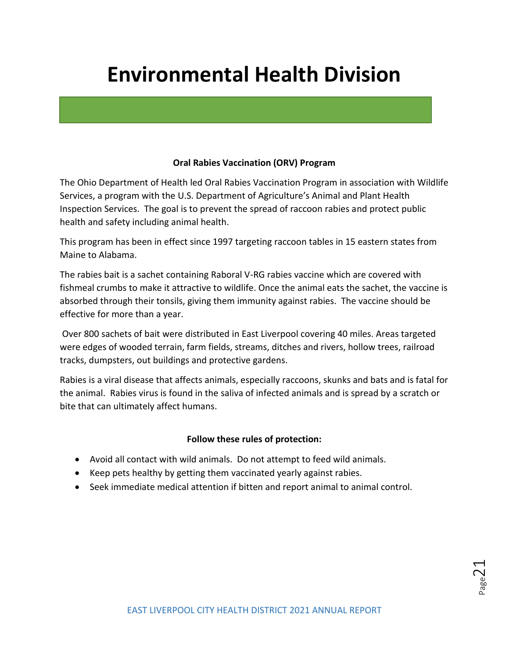### **Oral Rabies Vaccination (ORV) Program**

The Ohio Department of Health led Oral Rabies Vaccination Program in association with Wildlife Services, a program with the U.S. Department of Agriculture's Animal and Plant Health Inspection Services. The goal is to prevent the spread of raccoon rabies and protect public health and safety including animal health.

This program has been in effect since 1997 targeting raccoon tables in 15 eastern states from Maine to Alabama.

The rabies bait is a sachet containing Raboral V-RG rabies vaccine which are covered with fishmeal crumbs to make it attractive to wildlife. Once the animal eats the sachet, the vaccine is absorbed through their tonsils, giving them immunity against rabies. The vaccine should be effective for more than a year.

Over 800 sachets of bait were distributed in East Liverpool covering 40 miles. Areas targeted were edges of wooded terrain, farm fields, streams, ditches and rivers, hollow trees, railroad tracks, dumpsters, out buildings and protective gardens.

Rabies is a viral disease that affects animals, especially raccoons, skunks and bats and is fatal for the animal. Rabies virus is found in the saliva of infected animals and is spread by a scratch or bite that can ultimately affect humans.

### **Follow these rules of protection:**

- Avoid all contact with wild animals. Do not attempt to feed wild animals.
- Keep pets healthy by getting them vaccinated yearly against rabies.
- Seek immediate medical attention if bitten and report animal to animal control.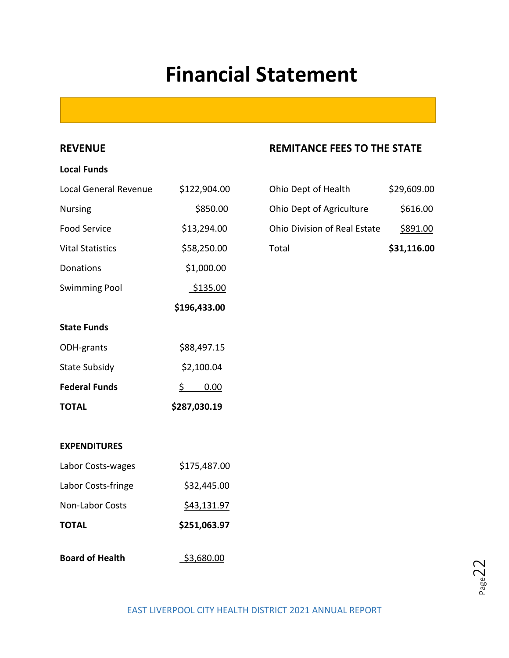## **Financial Statement**

### **Local Funds**

| <b>Local General Revenue</b> | \$122,904.00 | Ohio Dept of Health                 | \$29,609.00     |
|------------------------------|--------------|-------------------------------------|-----------------|
| <b>Nursing</b>               | \$850.00     | Ohio Dept of Agriculture            | \$616.00        |
| <b>Food Service</b>          | \$13,294.00  | <b>Ohio Division of Real Estate</b> | <u>\$891.00</u> |
| <b>Vital Statistics</b>      | \$58,250.00  | Total                               | \$31,116.00     |
| Donations                    | \$1,000.00   |                                     |                 |
| <b>Swimming Pool</b>         | \$135.00     |                                     |                 |
|                              | \$196,433.00 |                                     |                 |
| <b>State Funds</b>           |              |                                     |                 |
| ODH-grants                   | \$88,497.15  |                                     |                 |
| <b>State Subsidy</b>         | \$2,100.04   |                                     |                 |
| <b>Federal Funds</b>         | \$<br>0.00   |                                     |                 |
| <b>TOTAL</b>                 | \$287,030.19 |                                     |                 |
|                              |              |                                     |                 |

### **REVENUE REMITANCE FEES TO THE STATE**

| Total                        | \$31,116.00 |
|------------------------------|-------------|
| Ohio Division of Real Estate | \$891.00    |
| Ohio Dept of Agriculture     | \$616.00    |
| Ohio Dept of Health          | \$29,609.00 |

### **EXPENDITURES**

| <b>TOTAL</b>           | \$251,063.97 |
|------------------------|--------------|
| <b>Non-Labor Costs</b> | \$43,131.97  |
| Labor Costs-fringe     | \$32,445.00  |
| Labor Costs-wages      | \$175,487.00 |

**Board of Health <br>\$3,680.00** 

 $_{\tt Page}$ 22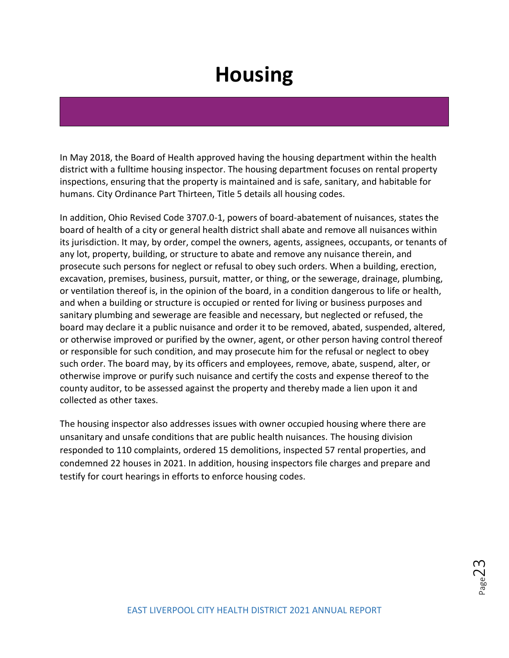## **Housing**

In May 2018, the Board of Health approved having the housing department within the health district with a fulltime housing inspector. The housing department focuses on rental property inspections, ensuring that the property is maintained and is safe, sanitary, and habitable for humans. City Ordinance Part Thirteen, Title 5 details all housing codes.

In addition, Ohio Revised Code 3707.0-1, powers of board-abatement of nuisances, states the board of health of a city or general health district shall abate and remove all nuisances within its jurisdiction. It may, by order, compel the owners, agents, assignees, occupants, or tenants of any lot, property, building, or structure to abate and remove any nuisance therein, and prosecute such persons for neglect or refusal to obey such orders. When a building, erection, excavation, premises, business, pursuit, matter, or thing, or the sewerage, drainage, plumbing, or ventilation thereof is, in the opinion of the board, in a condition dangerous to life or health, and when a building or structure is occupied or rented for living or business purposes and sanitary plumbing and sewerage are feasible and necessary, but neglected or refused, the board may declare it a public nuisance and order it to be removed, abated, suspended, altered, or otherwise improved or purified by the owner, agent, or other person having control thereof or responsible for such condition, and may prosecute him for the refusal or neglect to obey such order. The board may, by its officers and employees, remove, abate, suspend, alter, or otherwise improve or purify such nuisance and certify the costs and expense thereof to the county auditor, to be assessed against the property and thereby made a lien upon it and collected as other taxes.

The housing inspector also addresses issues with owner occupied housing where there are unsanitary and unsafe conditions that are public health nuisances. The housing division responded to 110 complaints, ordered 15 demolitions, inspected 57 rental properties, and condemned 22 houses in 2021. In addition, housing inspectors file charges and prepare and testify for court hearings in efforts to enforce housing codes.